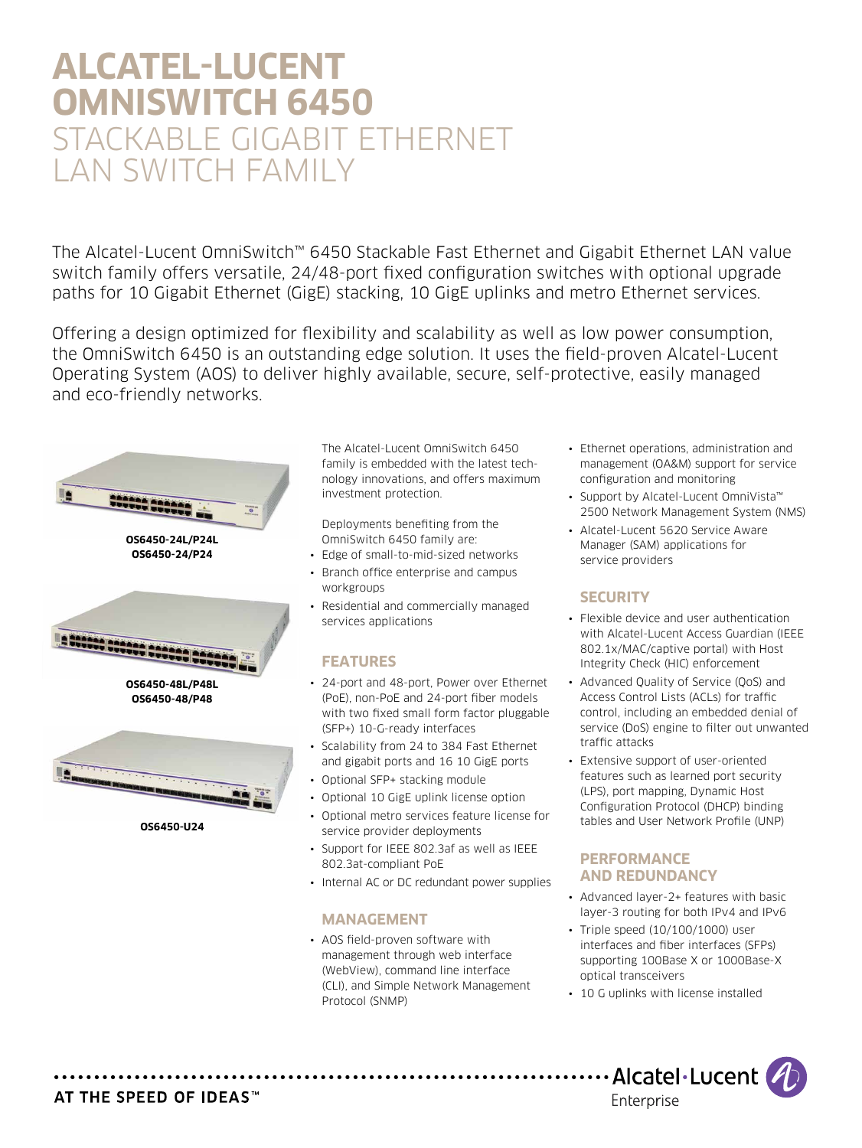# **Alcatel-Lucent OmniSwitch 6450** STACKABLE GIGABIT ETHERNET LAN SWITCH FAMILY

The Alcatel-Lucent OmniSwitch™ 6450 Stackable Fast Ethernet and Gigabit Ethernet LAN value switch family offers versatile, 24/48-port fixed configuration switches with optional upgrade paths for 10 Gigabit Ethernet (GigE) stacking, 10 GigE uplinks and metro Ethernet services.

Offering a design optimized for flexibility and scalability as well as low power consumption, the OmniSwitch 6450 is an outstanding edge solution. It uses the field-proven Alcatel-Lucent Operating System (AOS) to deliver highly available, secure, self-protective, easily managed and eco-friendly networks.



The Alcatel-Lucent OmniSwitch 6450 family is embedded with the latest technology innovations, and offers maximum investment protection.

Deployments benefiting from the OmniSwitch 6450 family are:

- Edge of small-to-mid-sized networks
- Branch office enterprise and campus workgroups
- Residential and commercially managed services applications

# **Features**

- 24-port and 48-port, Power over Ethernet (PoE), non-PoE and 24-port fiber models with two fixed small form factor pluggable (SFP+) 10-G-ready interfaces
- Scalability from 24 to 384 Fast Ethernet and gigabit ports and 16 10 GigE ports
- Optional SFP+ stacking module
- Optional 10 GigE uplink license option
- Optional metro services feature license for service provider deployments
- Support for IEEE 802.3af as well as IEEE 802.3at-compliant PoE
- Internal AC or DC redundant power supplies

# **MANAGEMENT**

• AOS field-proven software with management through web interface (WebView), command line interface (CLI), and Simple Network Management Protocol (SNMP)

- Ethernet operations, administration and management (OA&M) support for service configuration and monitoring
- Support by Alcatel-Lucent OmniVista™ 2500 Network Management System (NMS)
- Alcatel-Lucent 5620 Service Aware Manager (SAM) applications for service providers

# **SECURITY**

- Flexible device and user authentication with Alcatel-Lucent Access Guardian (IEEE 802.1x/MAC/captive portal) with Host Integrity Check (HIC) enforcement
- Advanced Quality of Service (QoS) and Access Control Lists (ACLs) for traffic control, including an embedded denial of service (DoS) engine to filter out unwanted traffic attacks
- Extensive support of user-oriented features such as learned port security (LPS), port mapping, Dynamic Host Configuration Protocol (DHCP) binding tables and User Network Profile (UNP)

# **PERFORMANCE AND REDUNDANCY**

- Advanced layer-2+ features with basic layer-3 routing for both IPv4 and IPv6
- Triple speed (10/100/1000) user interfaces and fiber interfaces (SFPs) supporting 100Base X or 1000Base-X optical transceivers
- 10 G uplinks with license installed



# AT THE SPEED OF IDEAS™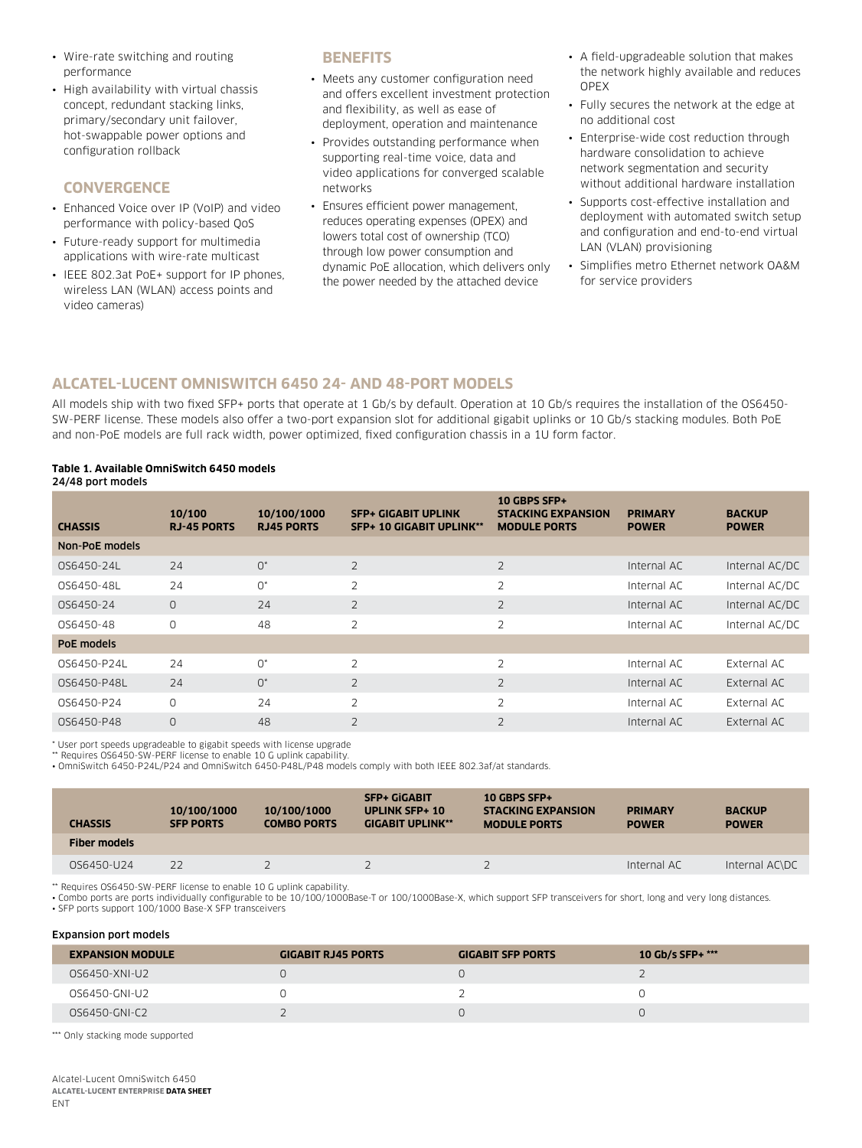- Wire-rate switching and routing performance
- High availability with virtual chassis concept, redundant stacking links, primary/secondary unit failover, hot-swappable power options and configuration rollback

### **CONVERGENCE**

- Enhanced Voice over IP (VoIP) and video performance with policy-based QoS
- Future-ready support for multimedia applications with wire-rate multicast
- IEEE 802.3at PoE+ support for IP phones, wireless LAN (WLAN) access points and video cameras)

### **BENEFITS**

- Meets any customer configuration need and offers excellent investment protection and flexibility, as well as ease of deployment, operation and maintenance
- Provides outstanding performance when supporting real-time voice, data and video applications for converged scalable networks
- Ensures efficient power management, reduces operating expenses (OPEX) and lowers total cost of ownership (TCO) through low power consumption and dynamic PoE allocation, which delivers only the power needed by the attached device
- A field-upgradeable solution that makes the network highly available and reduces OPEX
- Fully secures the network at the edge at no additional cost
- Enterprise-wide cost reduction through hardware consolidation to achieve network segmentation and security without additional hardware installation
- Supports cost-effective installation and deployment with automated switch setup and configuration and end-to-end virtual LAN (VLAN) provisioning
- Simplifies metro Ethernet network OA&M for service providers

### **ALCATEL-LUCENT OMNISWITCH 6450 24- AND 48-PORT MODELS**

All models ship with two fixed SFP+ ports that operate at 1 Gb/s by default. Operation at 10 Gb/s requires the installation of the OS6450- SW-PERF license. These models also offer a two-port expansion slot for additional gigabit uplinks or 10 Gb/s stacking modules. Both PoE and non-PoE models are full rack width, power optimized, fixed configuration chassis in a 1U form factor.

### **Table 1. Available OmniSwitch 6450 models**

| 24/48 port models |  |  |  |
|-------------------|--|--|--|
|-------------------|--|--|--|

| <b>CHASSIS</b> | 10/100<br><b>RJ-45 PORTS</b> | 10/100/1000<br><b>RJ45 PORTS</b> | <b>SFP+ GIGABIT UPLINK</b><br><b>SFP+ 10 GIGABIT UPLINK**</b> | 10 GBPS SFP+<br><b>STACKING EXPANSION</b><br><b>MODULE PORTS</b> | <b>PRIMARY</b><br><b>POWER</b> | <b>BACKUP</b><br><b>POWER</b> |
|----------------|------------------------------|----------------------------------|---------------------------------------------------------------|------------------------------------------------------------------|--------------------------------|-------------------------------|
| Non-PoE models |                              |                                  |                                                               |                                                                  |                                |                               |
| OS6450-24L     | 24                           | $O^*$                            | 2                                                             | 2                                                                | Internal AC                    | Internal AC/DC                |
| OS6450-48L     | 24                           | $0^*$                            | 2                                                             | $\overline{2}$                                                   | Internal AC                    | Internal AC/DC                |
| OS6450-24      | $\circ$                      | 24                               | 2                                                             | $\overline{2}$                                                   | Internal AC                    | Internal AC/DC                |
| 056450-48      | 0                            | 48                               | $\overline{2}$                                                | $\overline{2}$                                                   | Internal AC                    | Internal AC/DC                |
| PoE models     |                              |                                  |                                                               |                                                                  |                                |                               |
| OS6450-P24L    | 24                           | $0^*$                            | $\overline{2}$                                                | $\overline{2}$                                                   | Internal AC                    | External AC                   |
| OS6450-P48L    | 24                           | $O^*$                            | $\overline{2}$                                                | $\overline{2}$                                                   | Internal AC                    | External AC                   |
| OS6450-P24     | $\Omega$                     | 24                               | $\overline{2}$                                                | $\overline{2}$                                                   | Internal AC                    | External AC                   |
| 0S6450-P48     | $\Omega$                     | 48                               | $\overline{2}$                                                | $\overline{2}$                                                   | Internal AC                    | External AC                   |

\* User port speeds upgradeable to gigabit speeds with license upgrade

\*\* Requires OS6450-SW-PERF license to enable 10 G uplink capability.

• OmniSwitch 6450-P24L/P24 and OmniSwitch 6450-P48L/P48 models comply with both IEEE 802.3af/at standards.

| <b>CHASSIS</b>      | 10/100/1000<br><b>SFP PORTS</b> | 10/100/1000<br><b>COMBO PORTS</b> | <b>SFP+ GIGABIT</b><br><b>UPLINK SFP+ 10</b><br><b>GIGABIT UPLINK**</b> | 10 GBPS SFP+<br><b>STACKING EXPANSION</b><br><b>MODULE PORTS</b> | <b>PRIMARY</b><br><b>POWER</b> | <b>BACKUP</b><br><b>POWER</b> |
|---------------------|---------------------------------|-----------------------------------|-------------------------------------------------------------------------|------------------------------------------------------------------|--------------------------------|-------------------------------|
| <b>Fiber models</b> |                                 |                                   |                                                                         |                                                                  |                                |                               |
| OS6450-U24          | 22                              |                                   |                                                                         |                                                                  | Internal AC                    | Internal AC\DC                |

\*\* Requires OS6450-SW-PERF license to enable 10 G uplink capability.

• Combo ports are ports individually configurable to be 10/100/1000Base-T or 100/1000Base-X, which support SFP transceivers for short, long and very long distances. • SFP ports support 100/1000 Base-X SFP transceivers

#### Expansion port models

| <b>EXPANSION MODULE</b> | <b>GIGABIT RJ45 PORTS</b> | <b>GIGABIT SFP PORTS</b> | 10 Gb/s SFP+ *** |
|-------------------------|---------------------------|--------------------------|------------------|
| 0S6450-XNI-U2           |                           |                          |                  |
| 0S6450-GNI-U2           |                           |                          |                  |
| 0S6450-GNI-C2           |                           |                          |                  |

\*\*\* Only stacking mode supported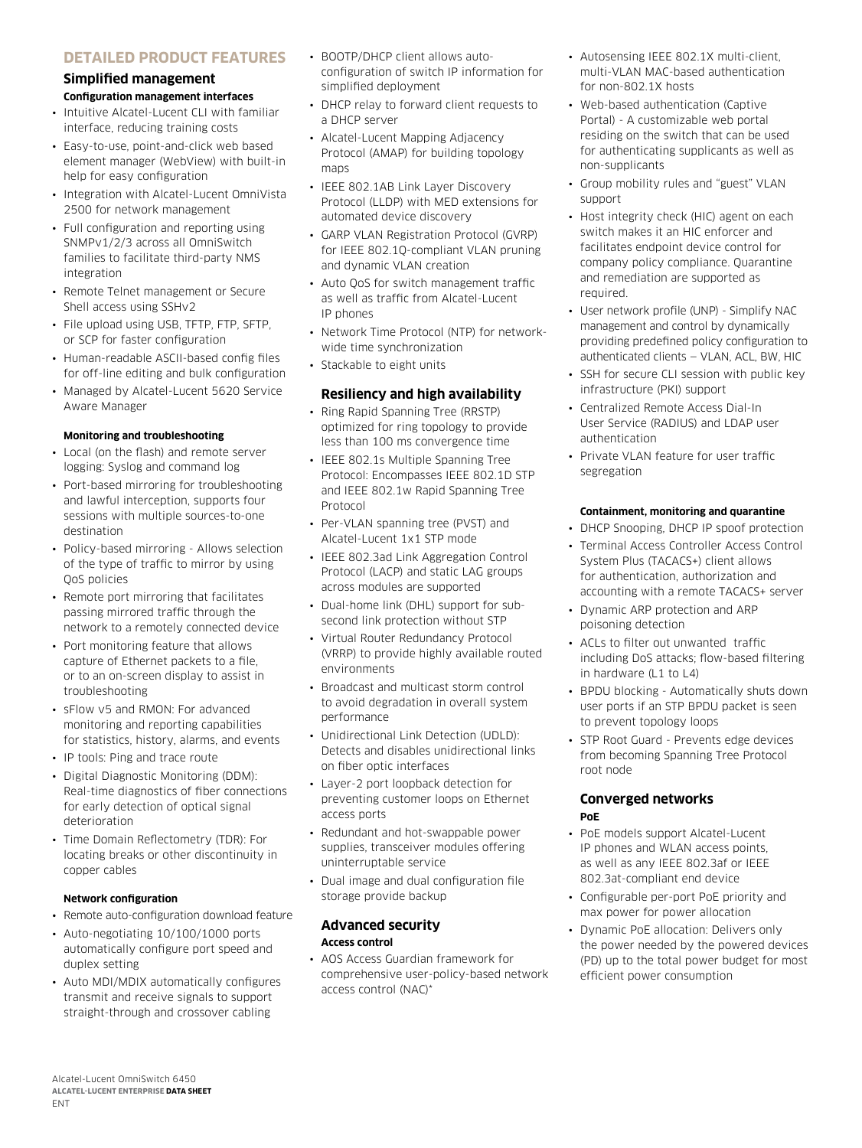# **DETAILED PRODUCT FEATURES**

# **Simplified management Configuration management interfaces**

- Intuitive Alcatel-Lucent CLI with familiar interface, reducing training costs
- Easy-to-use, point-and-click web based element manager (WebView) with built-in help for easy configuration
- Integration with Alcatel-Lucent OmniVista 2500 for network management
- Full configuration and reporting using SNMPv1/2/3 across all OmniSwitch families to facilitate third-party NMS integration
- Remote Telnet management or Secure Shell access using SSHv2
- File upload using USB, TFTP, FTP, SFTP, or SCP for faster configuration
- Human-readable ASCII-based config files for off-line editing and bulk configuration
- Managed by Alcatel-Lucent 5620 Service Aware Manager

#### **Monitoring and troubleshooting**

- Local (on the flash) and remote server logging: Syslog and command log
- Port-based mirroring for troubleshooting and lawful interception, supports four sessions with multiple sources-to-one destination
- Policy-based mirroring Allows selection of the type of traffic to mirror by using QoS policies
- Remote port mirroring that facilitates passing mirrored traffic through the network to a remotely connected device
- Port monitoring feature that allows capture of Ethernet packets to a file, or to an on-screen display to assist in troubleshooting
- sFlow v5 and RMON: For advanced monitoring and reporting capabilities for statistics, history, alarms, and events
- IP tools: Ping and trace route
- Digital Diagnostic Monitoring (DDM): Real-time diagnostics of fiber connections for early detection of optical signal deterioration
- Time Domain Reflectometry (TDR): For locating breaks or other discontinuity in copper cables

### **Network configuration**

- Remote auto-configuration download feature
- Auto-negotiating 10/100/1000 ports automatically configure port speed and duplex setting
- Auto MDI/MDIX automatically configures transmit and receive signals to support straight-through and crossover cabling
- BOOTP/DHCP client allows autoconfiguration of switch IP information for simplified deployment
- DHCP relay to forward client requests to a DHCP server
- Alcatel-Lucent Mapping Adjacency Protocol (AMAP) for building topology mans
- IEEE 802.1AB Link Layer Discovery Protocol (LLDP) with MED extensions for automated device discovery
- GARP VLAN Registration Protocol (GVRP) for IEEE 802.1Q-compliant VLAN pruning and dynamic VLAN creation
- Auto QoS for switch management traffic as well as traffic from Alcatel-Lucent IP phones
- Network Time Protocol (NTP) for networkwide time synchronization
- Stackable to eight units

### **Resiliency and high availability**

- Ring Rapid Spanning Tree (RRSTP) optimized for ring topology to provide less than 100 ms convergence time
- IEEE 802.1s Multiple Spanning Tree Protocol: Encompasses IEEE 802.1D STP and IEEE 802.1w Rapid Spanning Tree Protocol
- Per-VLAN spanning tree (PVST) and Alcatel-Lucent 1x1 STP mode
- IEEE 802.3ad Link Aggregation Control Protocol (LACP) and static LAG groups across modules are supported
- Dual-home link (DHL) support for subsecond link protection without STP
- Virtual Router Redundancy Protocol (VRRP) to provide highly available routed environments
- Broadcast and multicast storm control to avoid degradation in overall system performance
- Unidirectional Link Detection (UDLD): Detects and disables unidirectional links on fiber optic interfaces
- Layer-2 port loopback detection for preventing customer loops on Ethernet access ports
- Redundant and hot-swappable power supplies, transceiver modules offering uninterruptable service
- Dual image and dual configuration file storage provide backup

### **Advanced security Access control**

• AOS Access Guardian framework for comprehensive user-policy-based network access control (NAC)\*

- Autosensing IEEE 802.1X multi-client, multi-VLAN MAC-based authentication for non-802.1X hosts
- Web-based authentication (Captive Portal) - A customizable web portal residing on the switch that can be used for authenticating supplicants as well as non-supplicants
- Group mobility rules and "guest" VLAN support
- Host integrity check (HIC) agent on each switch makes it an HIC enforcer and facilitates endpoint device control for company policy compliance. Quarantine and remediation are supported as required.
- User network profile (UNP) Simplify NAC management and control by dynamically providing predefined policy configuration to authenticated clients — VLAN, ACL, BW, HIC
- SSH for secure CLI session with public key infrastructure (PKI) support
- Centralized Remote Access Dial-In User Service (RADIUS) and LDAP user authentication
- Private VLAN feature for user traffic segregation

### **Containment, monitoring and quarantine**

- DHCP Snooping, DHCP IP spoof protection
- Terminal Access Controller Access Control System Plus (TACACS+) client allows for authentication, authorization and accounting with a remote TACACS+ server
- Dynamic ARP protection and ARP poisoning detection
- ACLs to filter out unwanted traffic including DoS attacks; flow-based filtering in hardware (L1 to L4)
- BPDU blocking Automatically shuts down user ports if an STP BPDU packet is seen to prevent topology loops
- STP Root Guard Prevents edge devices from becoming Spanning Tree Protocol root node

### **Converged networks PoE**

- PoE models support Alcatel-Lucent IP phones and WLAN access points, as well as any IEEE 802.3af or IEEE 802.3at-compliant end device
- Configurable per-port PoE priority and max power for power allocation
- Dynamic PoE allocation: Delivers only the power needed by the powered devices (PD) up to the total power budget for most efficient power consumption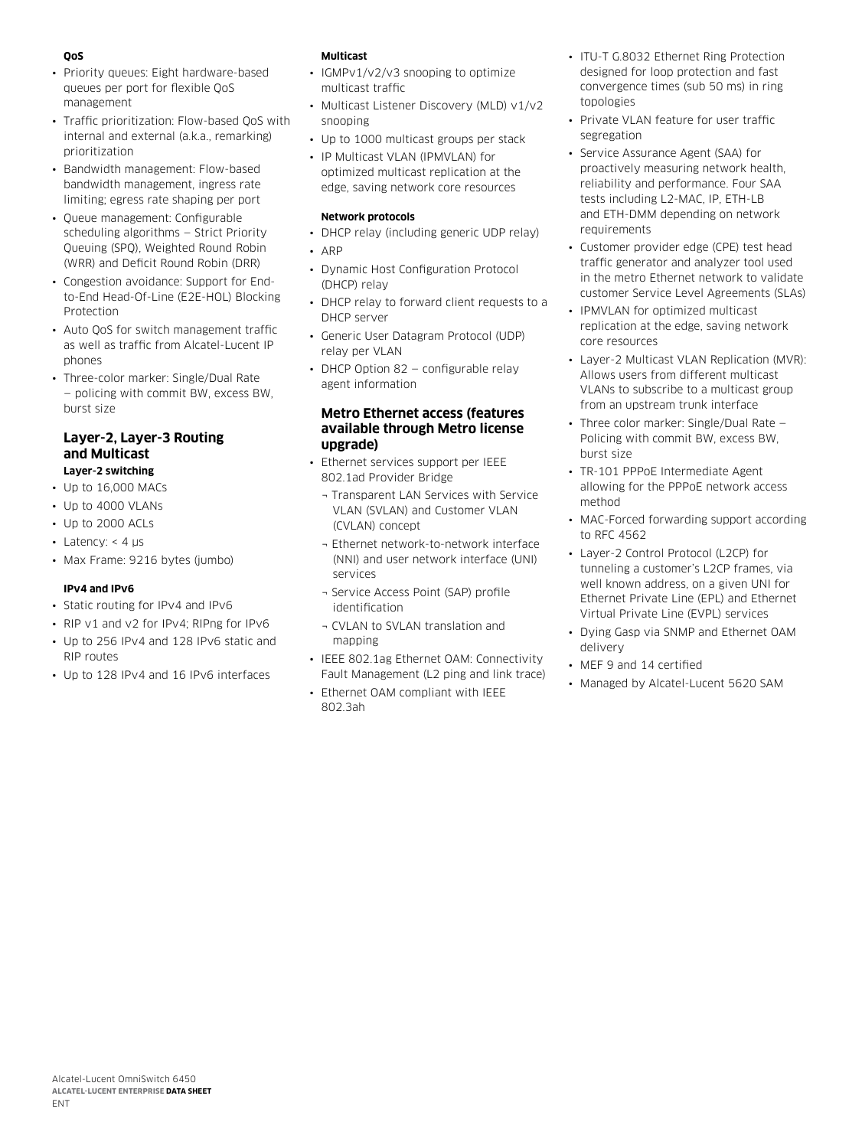# **QoS**

- Priority queues: Eight hardware-based queues per port for flexible QoS management
- Traffic prioritization: Flow-based QoS with internal and external (a.k.a., remarking) prioritization
- Bandwidth management: Flow-based bandwidth management, ingress rate limiting; egress rate shaping per port
- Queue management: Configurable scheduling algorithms — Strict Priority Queuing (SPQ), Weighted Round Robin (WRR) and Deficit Round Robin (DRR)
- Congestion avoidance: Support for Endto-End Head-Of-Line (E2E-HOL) Blocking Protection
- Auto QoS for switch management traffic as well as traffic from Alcatel-Lucent IP phones
- Three-color marker: Single/Dual Rate — policing with commit BW, excess BW, burst size

### **Layer-2, Layer-3 Routing and Multicast Layer-2 switching**

- Up to 16,000 MACs
- Up to 4000 VLANs
- Up to 2000 ACLs
- Latency:  $<$  4  $\mu$ s
- Max Frame: 9216 bytes (jumbo)

# **IPv4 and IPv6**

- Static routing for IPv4 and IPv6
- RIP v1 and v2 for IPv4; RIPng for IPv6
- Up to 256 IPv4 and 128 IPv6 static and RIP routes
- Up to 128 IPv4 and 16 IPv6 interfaces

### **Multicast**

- IGMPv1/v2/v3 snooping to optimize multicast traffic
- Multicast Listener Discovery (MLD) v1/v2 snooping
- Up to 1000 multicast groups per stack
- IP Multicast VLAN (IPMVLAN) for optimized multicast replication at the edge, saving network core resources

### **Network protocols**

- DHCP relay (including generic UDP relay)
- ARP
- Dynamic Host Configuration Protocol (DHCP) relay
- DHCP relay to forward client requests to a DHCP server
- Generic User Datagram Protocol (UDP) relay per VLAN
- DHCP Option 82 configurable relay agent information

# **Metro Ethernet access (features available through Metro license upgrade)**

- Ethernet services support per IEEE 802.1ad Provider Bridge
	- ¬ Transparent LAN Services with Service VLAN (SVLAN) and Customer VLAN (CVLAN) concept
	- ¬ Ethernet network-to-network interface (NNI) and user network interface (UNI) services
	- ¬ Service Access Point (SAP) profile identification
	- ¬ CVLAN to SVLAN translation and mapping
- IEEE 802.1ag Ethernet OAM: Connectivity Fault Management (L2 ping and link trace)
- Ethernet OAM compliant with IEEE 802.3ah
- ITU-T G.8032 Ethernet Ring Protection designed for loop protection and fast convergence times (sub 50 ms) in ring topologies
- Private VLAN feature for user traffic segregation
- Service Assurance Agent (SAA) for proactively measuring network health, reliability and performance. Four SAA tests including L2-MAC, IP, ETH-LB and ETH-DMM depending on network requirements
- Customer provider edge (CPE) test head traffic generator and analyzer tool used in the metro Ethernet network to validate customer Service Level Agreements (SLAs)
- IPMVLAN for optimized multicast replication at the edge, saving network core resources
- Layer-2 Multicast VLAN Replication (MVR): Allows users from different multicast VLANs to subscribe to a multicast group from an upstream trunk interface
- Three color marker: Single/Dual Rate Policing with commit BW, excess BW, burst size
- TR-101 PPPoE Intermediate Agent allowing for the PPPoE network access method
- MAC-Forced forwarding support according to RFC 4562
- Layer-2 Control Protocol (L2CP) for tunneling a customer's L2CP frames, via well known address, on a given UNI for Ethernet Private Line (EPL) and Ethernet Virtual Private Line (EVPL) services
- Dying Gasp via SNMP and Ethernet OAM delivery
- MEF 9 and 14 certified
- Managed by Alcatel-Lucent 5620 SAM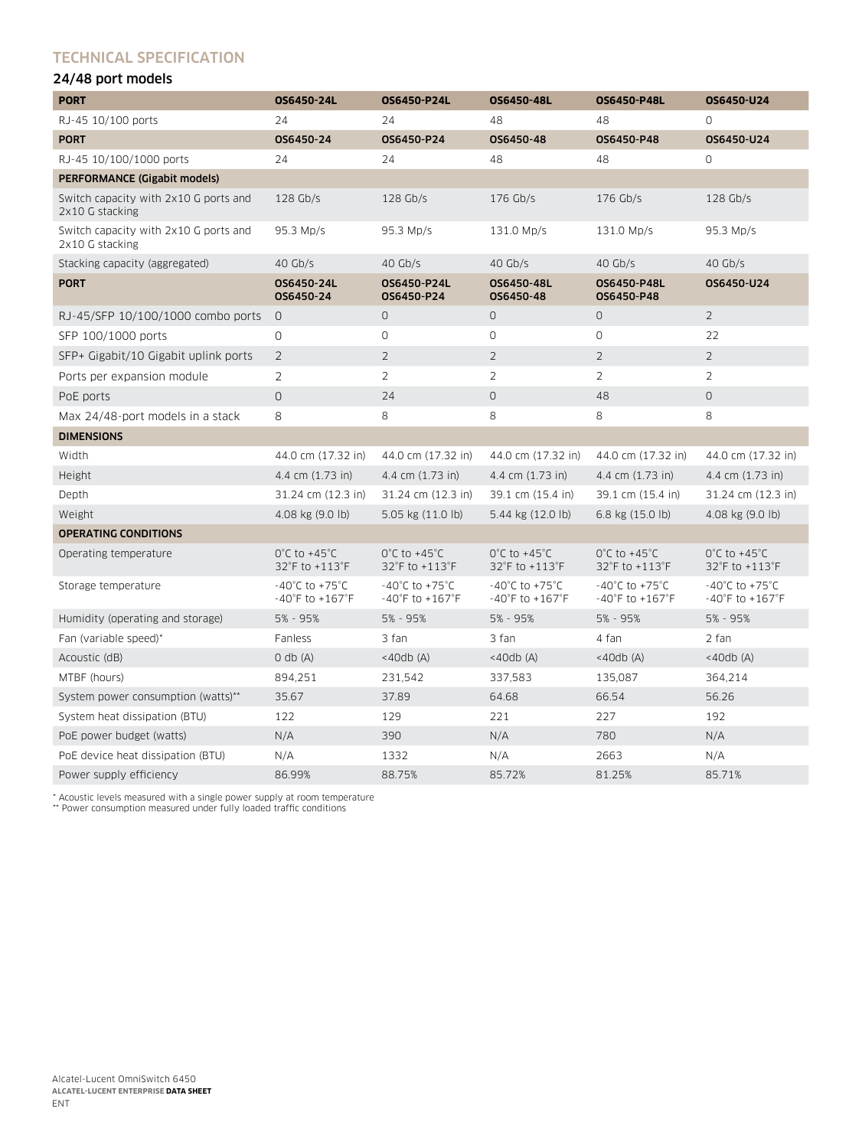# Technical specification

# 24/48 port models

| <b>PORT</b>                                              | OS6450-24L                                                                 | <b>OS6450-P24L</b>                                                         | OS6450-48L                                                                 | <b>OS6450-P48L</b>                                                        | OS6450-U24                                                                |
|----------------------------------------------------------|----------------------------------------------------------------------------|----------------------------------------------------------------------------|----------------------------------------------------------------------------|---------------------------------------------------------------------------|---------------------------------------------------------------------------|
| RJ-45 10/100 ports                                       | 24                                                                         | 24                                                                         | 48                                                                         | 48                                                                        | $\Omega$                                                                  |
| <b>PORT</b>                                              | OS6450-24                                                                  | OS6450-P24                                                                 | OS6450-48                                                                  | 0S6450-P48                                                                | OS6450-U24                                                                |
| RJ-45 10/100/1000 ports                                  | 24                                                                         | 24                                                                         | 48                                                                         | 48                                                                        | $\Omega$                                                                  |
| <b>PERFORMANCE (Gigabit models)</b>                      |                                                                            |                                                                            |                                                                            |                                                                           |                                                                           |
| Switch capacity with 2x10 G ports and<br>2x10 G stacking | $128$ Gb/s                                                                 | $128$ Gb/s                                                                 | $176$ Gb/s                                                                 | 176 Gb/s                                                                  | $128$ Gb/s                                                                |
| Switch capacity with 2x10 G ports and<br>2x10 G stacking | 95.3 Mp/s                                                                  | 95.3 Mp/s                                                                  | 131.0 Mp/s                                                                 | 131.0 Mp/s                                                                | 95.3 Mp/s                                                                 |
| Stacking capacity (aggregated)                           | 40 $Gb/s$                                                                  | $40$ Gb/s                                                                  | $40$ Gb/s                                                                  | $40$ Gb/s                                                                 | $40$ Gb/s                                                                 |
| <b>PORT</b>                                              | OS6450-24L<br>OS6450-24                                                    | 0S6450-P24L<br>OS6450-P24                                                  | OS6450-48L<br>OS6450-48                                                    | OS6450-P48L<br>OS6450-P48                                                 | OS6450-U24                                                                |
| RJ-45/SFP 10/100/1000 combo ports                        | $\circ$                                                                    | $\circ$                                                                    | $\circ$                                                                    | $\circ$                                                                   | $\overline{2}$                                                            |
| SFP 100/1000 ports                                       | 0                                                                          | 0                                                                          | 0                                                                          | $\circ$                                                                   | 22                                                                        |
| SFP+ Gigabit/10 Gigabit uplink ports                     | $\overline{2}$                                                             | $\overline{2}$                                                             | $\overline{2}$                                                             | $\overline{2}$                                                            | $\overline{2}$                                                            |
| Ports per expansion module                               | $\overline{2}$                                                             | $\overline{2}$                                                             | $\overline{2}$                                                             | $\overline{2}$                                                            | $\overline{2}$                                                            |
| PoE ports                                                | 0                                                                          | 24                                                                         | $\circ$                                                                    | 48                                                                        | $\circ$                                                                   |
| Max 24/48-port models in a stack                         | 8                                                                          | 8                                                                          | 8                                                                          | 8                                                                         | 8                                                                         |
| <b>DIMENSIONS</b>                                        |                                                                            |                                                                            |                                                                            |                                                                           |                                                                           |
| Width                                                    | 44.0 cm (17.32 in)                                                         | 44.0 cm (17.32 in)                                                         | 44.0 cm (17.32 in)                                                         | 44.0 cm (17.32 in)                                                        | 44.0 cm (17.32 in)                                                        |
| Height                                                   | 4.4 cm (1.73 in)                                                           | 4.4 cm (1.73 in)                                                           | 4.4 cm (1.73 in)                                                           | 4.4 cm (1.73 in)                                                          | 4.4 cm (1.73 in)                                                          |
| Depth                                                    | 31.24 cm (12.3 in)                                                         | 31.24 cm (12.3 in)                                                         | 39.1 cm (15.4 in)                                                          | 39.1 cm (15.4 in)                                                         | 31.24 cm (12.3 in)                                                        |
| Weight                                                   | 4.08 kg (9.0 lb)                                                           | 5.05 kg (11.0 lb)                                                          | 5.44 kg (12.0 lb)                                                          | 6.8 kg (15.0 lb)                                                          | 4.08 kg (9.0 lb)                                                          |
| <b>OPERATING CONDITIONS</b>                              |                                                                            |                                                                            |                                                                            |                                                                           |                                                                           |
| Operating temperature                                    | $0^{\circ}$ C to +45 $^{\circ}$ C<br>32°F to +113°F                        | $0^{\circ}$ C to +45 $^{\circ}$ C<br>32°F to +113°F                        | $0^{\circ}$ C to +45 $^{\circ}$ C<br>32°F to +113°F                        | $0^{\circ}$ C to +45 $^{\circ}$ C<br>32°F to +113°F                       | $0^{\circ}$ C to +45 $^{\circ}$ C<br>32°F to +113°F                       |
| Storage temperature                                      | $-40^{\circ}$ C to +75 $^{\circ}$ C<br>$-40^{\circ}$ F to $+167^{\circ}$ F | $-40^{\circ}$ C to +75 $^{\circ}$ C<br>$-40^{\circ}$ F to $+167^{\circ}$ F | $-40^{\circ}$ C to +75 $^{\circ}$ C<br>$-40^{\circ}$ F to $+167^{\circ}$ F | $-40^{\circ}$ C to $+75^{\circ}$ C<br>$-40^{\circ}$ F to $+167^{\circ}$ F | $-40^{\circ}$ C to $+75^{\circ}$ C<br>$-40^{\circ}$ F to $+167^{\circ}$ F |
| Humidity (operating and storage)                         | 5% - 95%                                                                   | 5% - 95%                                                                   | 5% - 95%                                                                   | $5% - 95%$                                                                | 5% - 95%                                                                  |
| Fan (variable speed)*                                    | Fanless                                                                    | 3 fan                                                                      | 3 fan                                                                      | 4 fan                                                                     | 2 fan                                                                     |
| Acoustic (dB)                                            | $0$ db $(A)$                                                               | $<$ 40db $(A)$                                                             | $<$ 40db $(A)$                                                             | $<$ 40db $(A)$                                                            | $<$ 40db (A)                                                              |
| MTBF (hours)                                             | 894,251                                                                    | 231,542                                                                    | 337,583                                                                    | 135,087                                                                   | 364,214                                                                   |
| System power consumption (watts)**                       | 35.67                                                                      | 37.89                                                                      | 64.68                                                                      | 66.54                                                                     | 56.26                                                                     |
| System heat dissipation (BTU)                            | 122                                                                        | 129                                                                        | 221                                                                        | 227                                                                       | 192                                                                       |
| PoE power budget (watts)                                 | N/A                                                                        | 390                                                                        | N/A                                                                        | 780                                                                       | N/A                                                                       |
| PoE device heat dissipation (BTU)                        | N/A                                                                        | 1332                                                                       | N/A                                                                        | 2663                                                                      | N/A                                                                       |
| Power supply efficiency                                  | 86.99%                                                                     | 88.75%                                                                     | 85.72%                                                                     | 81.25%                                                                    | 85.71%                                                                    |

\* Acoustic levels measured with a single power supply at room temperature \*\* Power consumption measured under fully loaded traffic conditions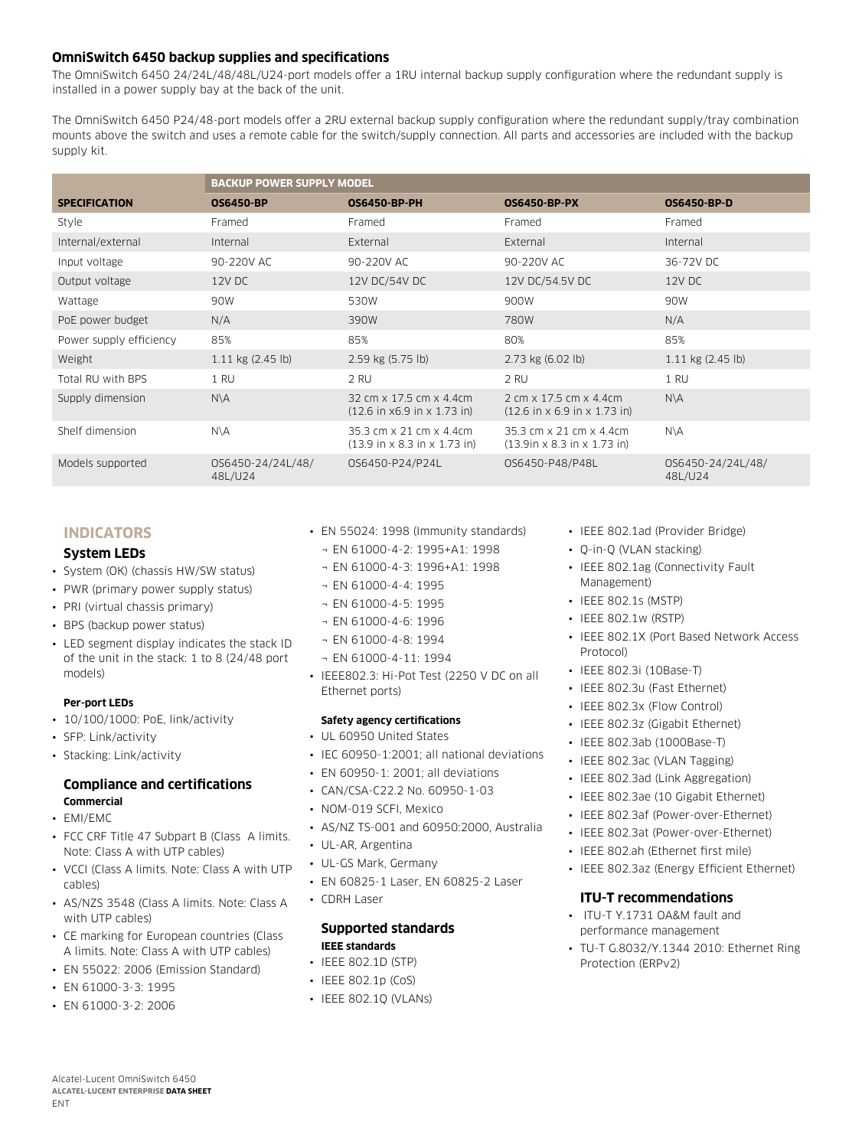# **OmniSwitch 6450 backup supplies and specifications**

The OmniSwitch 6450 24/24L/48/48L/U24-port models offer a 1RU internal backup supply configuration where the redundant supply is installed in a power supply bay at the back of the unit.

The OmniSwitch 6450 P24/48-port models offer a 2RU external backup supply configuration where the redundant supply/tray combination mounts above the switch and uses a remote cable for the switch/supply connection. All parts and accessories are included with the backup supply kit.

|                         | <b>BACKUP POWER SUPPLY MODEL</b> |                                                                                      |                                                                                     |                              |
|-------------------------|----------------------------------|--------------------------------------------------------------------------------------|-------------------------------------------------------------------------------------|------------------------------|
| <b>SPECIFICATION</b>    | <b>OS6450-BP</b>                 | <b>OS6450-BP-PH</b>                                                                  | <b>OS6450-BP-PX</b>                                                                 | <b>OS6450-BP-D</b>           |
| Style                   | Framed                           | Framed                                                                               | Framed                                                                              | Framed                       |
| Internal/external       | Internal                         | External                                                                             | External                                                                            | Internal                     |
| Input voltage           | 90-220V AC                       | 90-220V AC                                                                           | 90-220V AC                                                                          | 36-72V DC                    |
| Output voltage          | 12V DC                           | 12V DC/54V DC                                                                        | 12V DC/54.5V DC                                                                     | 12V DC                       |
| Wattage                 | 90W                              | 530W                                                                                 | 900W                                                                                | 90W                          |
| PoE power budget        | N/A                              | 390W                                                                                 | 780W                                                                                | N/A                          |
| Power supply efficiency | 85%                              | 85%                                                                                  | 80%                                                                                 | 85%                          |
| Weight                  | $1.11$ kg $(2.45)$ lb)           | 2.59 kg (5.75 lb)                                                                    | $2.73$ kg $(6.02$ lb)                                                               | $1.11$ kg $(2.45)$ lb)       |
| Total RU with BPS       | 1 RU                             | 2 RU                                                                                 | 2 RU                                                                                | 1 RU                         |
| Supply dimension        | $N\setminus A$                   | 32 cm x 17.5 cm x 4.4 cm<br>$(12.6 \text{ in } x6.9 \text{ in } x 1.73 \text{ in})$  | 2 cm x 17.5 cm x 4.4 cm<br>$(12.6 \text{ in } x 6.9 \text{ in } x 1.73 \text{ in})$ | $N\setminus A$               |
| Shelf dimension         | $N\setminus A$                   | 35.3 cm x 21 cm x 4.4 cm<br>$(13.9 \text{ in } x 8.3 \text{ in } x 1.73 \text{ in})$ | 35.3 cm x 21 cm x 4.4 cm<br>$(13.9$ in x 8.3 in x 1.73 in)                          | N\A                          |
| Models supported        | 0S6450-24/24L/48/<br>48L/U24     | OS6450-P24/P24L                                                                      | 0S6450-P48/P48L                                                                     | OS6450-24/24L/48/<br>48L/U24 |

# **INDICATORS**

### **System LEDs**

- System (OK) (chassis HW/SW status)
- PWR (primary power supply status)
- PRI (virtual chassis primary)
- BPS (backup power status)
- LED segment display indicates the stack ID of the unit in the stack: 1 to 8 (24/48 port models)

### **Per-port LEDs**

- 10/100/1000: PoE, link/activity
- SFP: Link/activity
- Stacking: Link/activity

### **Compliance and certifications Commercial**

- EMI/EMC
- FCC CRE Title 47 Subpart B (Class A limits. Note: Class A with UTP cables)
- VCCI (Class A limits. Note: Class A with UTP cables)
- AS/NZS 3548 (Class A limits. Note: Class A with UTP cables)
- CE marking for European countries (Class A limits. Note: Class A with UTP cables)
- EN 55022: 2006 (Emission Standard)
- EN 61000-3-3: 1995
- EN 61000-3-2: 2006
- EN 55024: 1998 (Immunity standards)
- ¬ EN 61000-4-2: 1995+A1: 1998
- ¬ EN 61000-4-3: 1996+A1: 1998
- ¬ EN 61000-4-4: 1995
- ¬ EN 61000-4-5: 1995
- ¬ EN 61000-4-6: 1996
- ¬ EN 61000-4-8: 1994
- ¬ EN 61000-4-11: 1994
- IEEE802.3: Hi-Pot Test (2250 V DC on all Ethernet ports)

### **Safety agency certifications**

- UL 60950 United States
- IEC 60950-1:2001; all national deviations
- EN 60950-1: 2001; all deviations
- CAN/CSA-C22.2 No. 60950-1-03
- NOM-019 SCFI, Mexico
- AS/NZ TS-001 and 60950:2000, Australia
- UL-AR, Argentina
- UL-GS Mark, Germany
- EN 60825-1 Laser, EN 60825-2 Laser
- CDRH Laser

### **Supported standards IEEE standards**

- IEEE 802.1D (STP)
- IEEE 802.1p (CoS)
- IEEE 802.1Q (VLANs)

### • IEEE 802.1ad (Provider Bridge)

- Q-in-Q (VLAN stacking)
- IEEE 802.1ag (Connectivity Fault Management)
- IEEE 802.1s (MSTP)
- IEEE 802.1w (RSTP)
- IEEE 802.1X (Port Based Network Access Protocol)
- IEEE 802.3i (10Base-T)
- IEEE 802.3u (Fast Ethernet)
- IEEE 802.3x (Flow Control)
- IEEE 802.3z (Gigabit Ethernet)
- IEEE 802.3ab (1000Base-T)
- IEEE 802.3ac (VLAN Tagging)
- IEEE 802.3ad (Link Aggregation)
- IEEE 802.3ae (10 Gigabit Ethernet)
- IEEE 802.3af (Power-over-Ethernet)
- IEEE 802.3at (Power-over-Ethernet)
- IEEE 802.ah (Ethernet first mile)
- IEEE 802.3az (Energy Efficient Ethernet)

# **ITU-T recommendations**

- ITU-T Y.1731 OA&M fault and performance management
- TU-T G.8032/Y.1344 2010: Ethernet Ring Protection (ERPv2)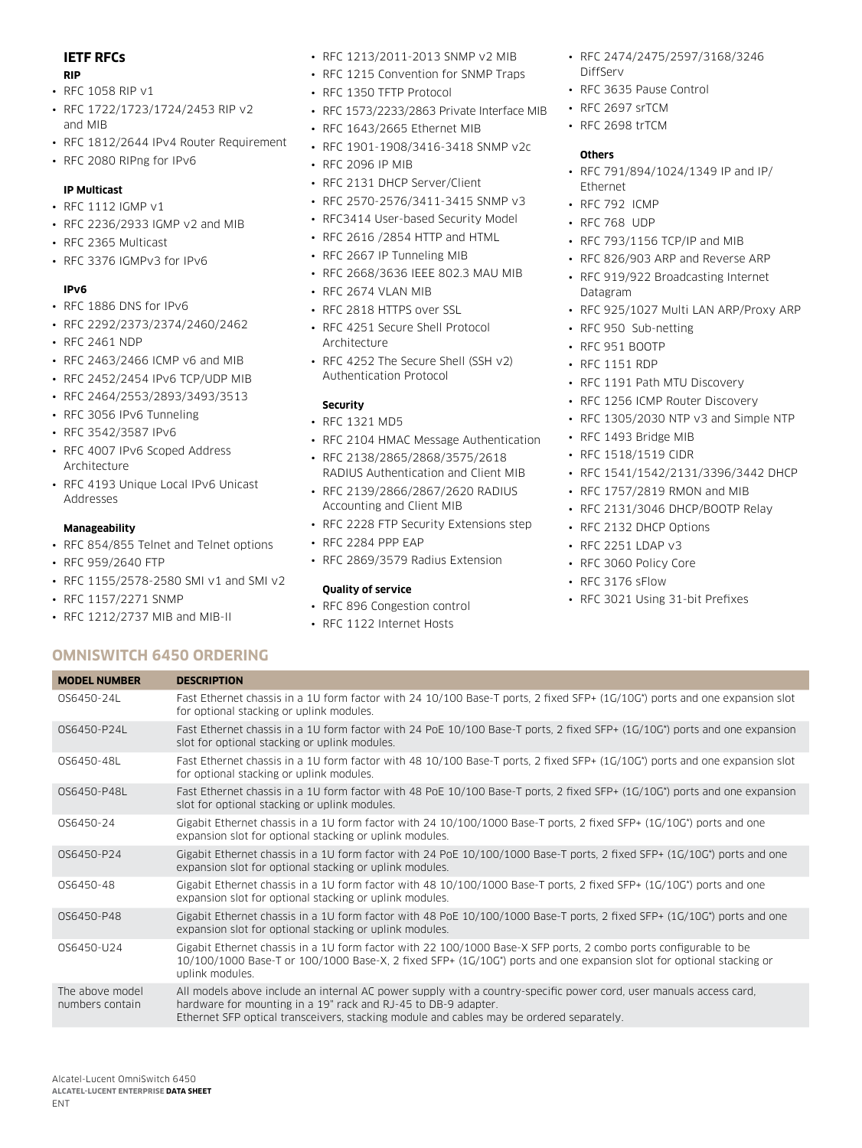# **IETF RFCs**

#### **RIP**

- RFC 1058 RIP v1
- RFC 1722/1723/1724/2453 RIP v2 and MIB
- RFC 1812/2644 IPv4 Router Requirement
- RFC 2080 RIPng for IPv6

### **IP Multicast**

### • RFC 1112 IGMP v1

- RFC 2236/2933 IGMP v2 and MIB
- RFC 2365 Multicast
- RFC 3376 IGMPv3 for IPv6

### **IPv6**

- RFC 1886 DNS for IPv6
- RFC 2292/2373/2374/2460/2462
- RFC 2461 NDP
- RFC 2463/2466 ICMP v6 and MIB
- RFC 2452/2454 IPv6 TCP/UDP MIB
- RFC 2464/2553/2893/3493/3513
- RFC 3056 IPv6 Tunneling
- RFC 3542/3587 IPv6
- RFC 4007 IPv6 Scoped Address Architecture
- RFC 4193 Unique Local IPv6 Unicast Addresses

### **Manageability**

- RFC 854/855 Telnet and Telnet options
- RFC 959/2640 FTP
- RFC 1155/2578-2580 SMI v1 and SMI v2
- RFC 1157/2271 SNMP
- RFC 1212/2737 MIB and MIB-II
- RFC 1213/2011-2013 SNMP v2 MIB
- RFC 1215 Convention for SNMP Traps
- RFC 1350 TFTP Protocol
- RFC 1573/2233/2863 Private Interface MIB
- RFC 1643/2665 Ethernet MIB
- RFC 1901-1908/3416-3418 SNMP v2c
- RFC 2096 IP MIB
- RFC 2131 DHCP Server/Client
- RFC 2570-2576/3411-3415 SNMP v3
- RFC3414 User-based Security Model
- RFC 2616 /2854 HTTP and HTML
- RFC 2667 IP Tunneling MIB
- RFC 2668/3636 IEEE 802.3 MAU MIB
- RFC 2674 VLAN MIB
- RFC 2818 HTTPS over SSL
- RFC 4251 Secure Shell Protocol **Architecture**
- RFC 4252 The Secure Shell (SSH v2) Authentication Protocol

### **Security**

- RFC 1321 MD5
- RFC 2104 HMAC Message Authentication
- RFC 2138/2865/2868/3575/2618 RADIUS Authentication and Client MIB
- RFC 2139/2866/2867/2620 RADIUS Accounting and Client MIB
- RFC 2228 FTP Security Extensions step
- RFC 2284 PPP EAP
- RFC 2869/3579 Radius Extension

### **Quality of service**

- RFC 896 Congestion control
- RFC 1122 Internet Hosts
- RFC 2474/2475/2597/3168/3246 DiffServ
- RFC 3635 Pause Control
- RFC 2697 srTCM
- RFC 2698 trTCM

### **Others**

- RFC 791/894/1024/1349 IP and IP/ Ethernet
- RFC 792 ICMP
- RFC 768 UDP
- RFC 793/1156 TCP/IP and MIB
- RFC 826/903 ARP and Reverse ARP • RFC 919/922 Broadcasting Internet Datagram
- RFC 925/1027 Multi LAN ARP/Proxy ARP
- RFC 950 Sub-netting
- RFC 951 BOOTP
- RFC 1151 RDP
- RFC 1191 Path MTU Discovery
- RFC 1256 ICMP Router Discovery
- RFC 1305/2030 NTP v3 and Simple NTP
- RFC 1493 Bridge MIB
- RFC 1518/1519 CIDR
- RFC 1541/1542/2131/3396/3442 DHCP
- RFC 1757/2819 RMON and MIB
- RFC 2131/3046 DHCP/BOOTP Relay
- RFC 2132 DHCP Options
- RFC 2251 LDAP v3
- RFC 3060 Policy Core
- RFC 3176 sFlow
- RFC 3021 Using 31-bit Prefixes

# **OmniSwitch 6450 Ordering**

| <b>MODEL NUMBER</b>                | <b>DESCRIPTION</b>                                                                                                                                                                                                                                                               |
|------------------------------------|----------------------------------------------------------------------------------------------------------------------------------------------------------------------------------------------------------------------------------------------------------------------------------|
| OS6450-24L                         | Fast Ethernet chassis in a 1U form factor with 24 10/100 Base-T ports, 2 fixed SFP+ (1G/10G*) ports and one expansion slot<br>for optional stacking or uplink modules.                                                                                                           |
| OS6450-P24L                        | Fast Ethernet chassis in a 1U form factor with 24 PoE 10/100 Base-T ports, 2 fixed SFP+ (1G/10G*) ports and one expansion<br>slot for optional stacking or uplink modules.                                                                                                       |
| OS6450-48L                         | Fast Ethernet chassis in a 1U form factor with 48 10/100 Base-T ports, 2 fixed SFP+ (1G/10G*) ports and one expansion slot<br>for optional stacking or uplink modules.                                                                                                           |
| OS6450-P48L                        | Fast Ethernet chassis in a 1U form factor with 48 PoE 10/100 Base-T ports, 2 fixed SFP+ (1G/10G*) ports and one expansion<br>slot for optional stacking or uplink modules.                                                                                                       |
| OS6450-24                          | Gigabit Ethernet chassis in a 1U form factor with 24 10/100/1000 Base-T ports, 2 fixed SFP+ (1G/10G*) ports and one<br>expansion slot for optional stacking or uplink modules.                                                                                                   |
| OS6450-P24                         | Gigabit Ethernet chassis in a 1U form factor with 24 PoE 10/100/1000 Base-T ports, 2 fixed SFP+ (1G/10G*) ports and one<br>expansion slot for optional stacking or uplink modules.                                                                                               |
| OS6450-48                          | Gigabit Ethernet chassis in a 1U form factor with 48 10/100/1000 Base-T ports, 2 fixed SFP+ (1G/10G*) ports and one<br>expansion slot for optional stacking or uplink modules.                                                                                                   |
| 0S6450-P48                         | Gigabit Ethernet chassis in a 1U form factor with 48 PoE 10/100/1000 Base-T ports, 2 fixed SFP+ (1G/10G*) ports and one<br>expansion slot for optional stacking or uplink modules.                                                                                               |
| OS6450-U24                         | Gigabit Ethernet chassis in a 1U form factor with 22 100/1000 Base-X SFP ports, 2 combo ports configurable to be<br>10/100/1000 Base-T or 100/1000 Base-X, 2 fixed SFP+ (1G/10G*) ports and one expansion slot for optional stacking or<br>uplink modules.                       |
| The above model<br>numbers contain | All models above include an internal AC power supply with a country-specific power cord, user manuals access card,<br>hardware for mounting in a 19" rack and RJ-45 to DB-9 adapter.<br>Ethernet SFP optical transceivers, stacking module and cables may be ordered separately. |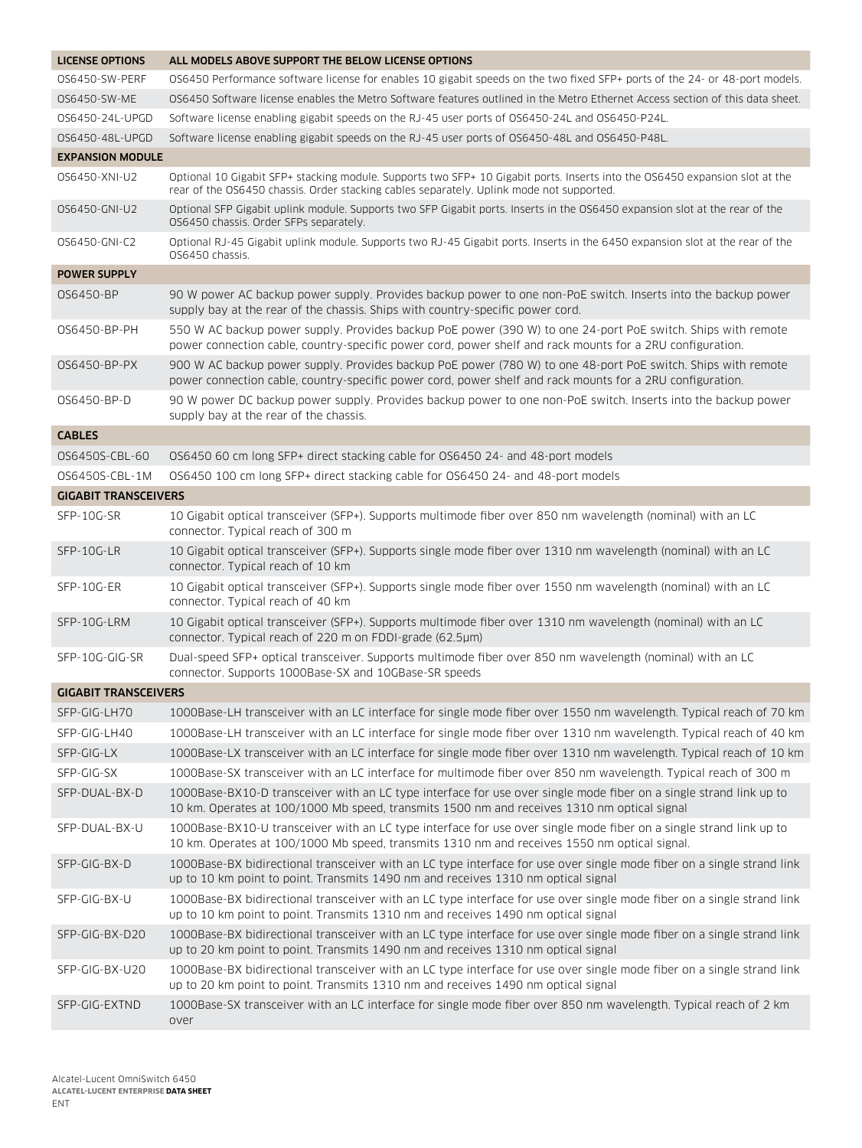| <b>LICENSE OPTIONS</b>      | ALL MODELS ABOVE SUPPORT THE BELOW LICENSE OPTIONS                                                                                                                                                                        |
|-----------------------------|---------------------------------------------------------------------------------------------------------------------------------------------------------------------------------------------------------------------------|
| OS6450-SW-PERF              | OS6450 Performance software license for enables 10 gigabit speeds on the two fixed SFP+ ports of the 24- or 48-port models.                                                                                               |
| OS6450-SW-ME                | OS6450 Software license enables the Metro Software features outlined in the Metro Ethernet Access section of this data sheet.                                                                                             |
| 0S6450-24L-UPGD             | Software license enabling gigabit speeds on the RJ-45 user ports of OS6450-24L and OS6450-P24L.                                                                                                                           |
| 0S6450-48L-UPGD             | Software license enabling gigabit speeds on the RJ-45 user ports of OS6450-48L and OS6450-P48L.                                                                                                                           |
| <b>EXPANSION MODULE</b>     |                                                                                                                                                                                                                           |
| 0S6450-XNI-U2               | Optional 10 Gigabit SFP+ stacking module. Supports two SFP+ 10 Gigabit ports. Inserts into the OS6450 expansion slot at the<br>rear of the OS6450 chassis. Order stacking cables separately. Uplink mode not supported.   |
| 0S6450-GNI-U2               | Optional SFP Gigabit uplink module. Supports two SFP Gigabit ports. Inserts in the OS6450 expansion slot at the rear of the<br>OS6450 chassis. Order SFPs separately.                                                     |
| 0S6450-GNI-C2               | Optional RJ-45 Gigabit uplink module. Supports two RJ-45 Gigabit ports. Inserts in the 6450 expansion slot at the rear of the<br>OS6450 chassis.                                                                          |
| <b>POWER SUPPLY</b>         |                                                                                                                                                                                                                           |
| 0S6450-BP                   | 90 W power AC backup power supply. Provides backup power to one non-PoE switch. Inserts into the backup power<br>supply bay at the rear of the chassis. Ships with country-specific power cord.                           |
| 0S6450-BP-PH                | 550 W AC backup power supply. Provides backup PoE power (390 W) to one 24-port PoE switch. Ships with remote<br>power connection cable, country-specific power cord, power shelf and rack mounts for a 2RU configuration. |
| 0S6450-BP-PX                | 900 W AC backup power supply. Provides backup PoE power (780 W) to one 48-port PoE switch. Ships with remote<br>power connection cable, country-specific power cord, power shelf and rack mounts for a 2RU configuration. |
| OS6450-BP-D                 | 90 W power DC backup power supply. Provides backup power to one non-PoE switch. Inserts into the backup power<br>supply bay at the rear of the chassis.                                                                   |
| <b>CABLES</b>               |                                                                                                                                                                                                                           |
| 0S6450S-CBL-60              | OS6450 60 cm long SFP+ direct stacking cable for OS6450 24- and 48-port models                                                                                                                                            |
| OS6450S-CBL-1M              | OS6450 100 cm long SFP+ direct stacking cable for OS6450 24- and 48-port models                                                                                                                                           |
| <b>GIGABIT TRANSCEIVERS</b> |                                                                                                                                                                                                                           |
| SFP-10G-SR                  | 10 Gigabit optical transceiver (SFP+). Supports multimode fiber over 850 nm wavelength (nominal) with an LC<br>connector. Typical reach of 300 m                                                                          |
| SFP-10G-LR                  | 10 Gigabit optical transceiver (SFP+). Supports single mode fiber over 1310 nm wavelength (nominal) with an LC<br>connector. Typical reach of 10 km                                                                       |
| SFP-10G-ER                  | 10 Gigabit optical transceiver (SFP+). Supports single mode fiber over 1550 nm wavelength (nominal) with an LC<br>connector. Typical reach of 40 km                                                                       |
| SFP-10G-LRM                 | 10 Gigabit optical transceiver (SFP+). Supports multimode fiber over 1310 nm wavelength (nominal) with an LC<br>connector. Typical reach of 220 m on FDDI-grade (62.5µm)                                                  |
| SFP-10G-GIG-SR              | Dual-speed SFP+ optical transceiver. Supports multimode fiber over 850 nm wavelength (nominal) with an LC<br>connector. Supports 1000Base-SX and 10GBase-SR speeds                                                        |
| <b>GIGABIT TRANSCEIVERS</b> |                                                                                                                                                                                                                           |
| SFP-GIG-LH70                | 1000Base-LH transceiver with an LC interface for single mode fiber over 1550 nm wavelength. Typical reach of 70 km                                                                                                        |
| SFP-GIG-LH40                | 1000Base-LH transceiver with an LC interface for single mode fiber over 1310 nm wavelength. Typical reach of 40 km                                                                                                        |
| SFP-GIG-LX                  | 1000Base-LX transceiver with an LC interface for single mode fiber over 1310 nm wavelength. Typical reach of 10 km                                                                                                        |
| SFP-GIG-SX                  | 1000Base-SX transceiver with an LC interface for multimode fiber over 850 nm wavelength. Typical reach of 300 m                                                                                                           |
| SFP-DUAL-BX-D               | 1000Base-BX10-D transceiver with an LC type interface for use over single mode fiber on a single strand link up to<br>10 km. Operates at 100/1000 Mb speed, transmits 1500 nm and receives 1310 nm optical signal         |
| SFP-DUAL-BX-U               | 1000Base-BX10-U transceiver with an LC type interface for use over single mode fiber on a single strand link up to<br>10 km. Operates at 100/1000 Mb speed, transmits 1310 nm and receives 1550 nm optical signal.        |
| SFP-GIG-BX-D                | 1000Base-BX bidirectional transceiver with an LC type interface for use over single mode fiber on a single strand link<br>up to 10 km point to point. Transmits 1490 nm and receives 1310 nm optical signal               |
| SFP-GIG-BX-U                | 1000Base-BX bidirectional transceiver with an LC type interface for use over single mode fiber on a single strand link<br>up to 10 km point to point. Transmits 1310 nm and receives 1490 nm optical signal               |
| SFP-GIG-BX-D20              | 1000Base-BX bidirectional transceiver with an LC type interface for use over single mode fiber on a single strand link<br>up to 20 km point to point. Transmits 1490 nm and receives 1310 nm optical signal               |
| SFP-GIG-BX-U20              | 1000Base-BX bidirectional transceiver with an LC type interface for use over single mode fiber on a single strand link<br>up to 20 km point to point. Transmits 1310 nm and receives 1490 nm optical signal               |
| SFP-GIG-EXTND               | 1000Base-SX transceiver with an LC interface for single mode fiber over 850 nm wavelength. Typical reach of 2 km<br>over                                                                                                  |